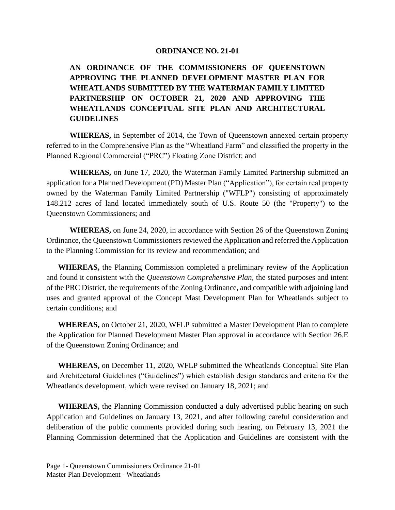## **ORDINANCE NO. 21-01**

**AN ORDINANCE OF THE COMMISSIONERS OF QUEENSTOWN APPROVING THE PLANNED DEVELOPMENT MASTER PLAN FOR WHEATLANDS SUBMITTED BY THE WATERMAN FAMILY LIMITED PARTNERSHIP ON OCTOBER 21, 2020 AND APPROVING THE WHEATLANDS CONCEPTUAL SITE PLAN AND ARCHITECTURAL GUIDELINES**

**WHEREAS,** in September of 2014, the Town of Queenstown annexed certain property referred to in the Comprehensive Plan as the "Wheatland Farm" and classified the property in the Planned Regional Commercial ("PRC") Floating Zone District; and

**WHEREAS,** on June 17, 2020, the Waterman Family Limited Partnership submitted an application for a Planned Development (PD) Master Plan ("Application"), for certain real property owned by the Waterman Family Limited Partnership ("WFLP") consisting of approximately 148.212 acres of land located immediately south of U.S. Route 50 (the "Property") to the Queenstown Commissioners; and

**WHEREAS,** on June 24, 2020, in accordance with Section 26 of the Queenstown Zoning Ordinance, the Queenstown Commissioners reviewed the Application and referred the Application to the Planning Commission for its review and recommendation; and

**WHEREAS,** the Planning Commission completed a preliminary review of the Application and found it consistent with the *Queenstown Comprehensive Plan,* the stated purposes and intent of the PRC District, the requirements of the Zoning Ordinance, and compatible with adjoining land uses and granted approval of the Concept Mast Development Plan for Wheatlands subject to certain conditions; and

**WHEREAS,** on October 21, 2020, WFLP submitted a Master Development Plan to complete the Application for Planned Development Master Plan approval in accordance with Section 26.E of the Queenstown Zoning Ordinance; and

**WHEREAS,** on December 11, 2020, WFLP submitted the Wheatlands Conceptual Site Plan and Architectural Guidelines ("Guidelines") which establish design standards and criteria for the Wheatlands development, which were revised on January 18, 2021; and

**WHEREAS,** the Planning Commission conducted a duly advertised public hearing on such Application and Guidelines on January 13, 2021, and after following careful consideration and deliberation of the public comments provided during such hearing, on February 13, 2021 the Planning Commission determined that the Application and Guidelines are consistent with the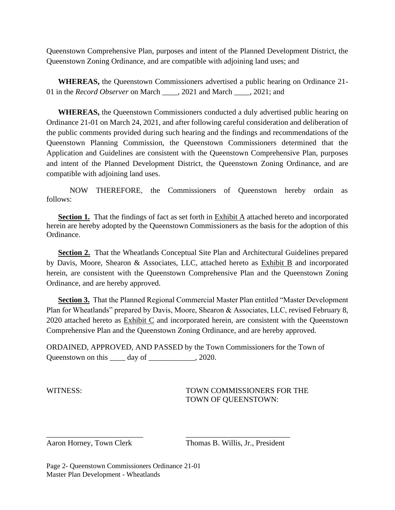Queenstown Comprehensive Plan, purposes and intent of the Planned Development District, the Queenstown Zoning Ordinance, and are compatible with adjoining land uses; and

**WHEREAS,** the Queenstown Commissioners advertised a public hearing on Ordinance 21- 01 in the *Record Observer* on March \_\_\_\_, 2021 and March \_\_\_\_, 2021; and

**WHEREAS,** the Queenstown Commissioners conducted a duly advertised public hearing on Ordinance 21-01 on March 24, 2021, and after following careful consideration and deliberation of the public comments provided during such hearing and the findings and recommendations of the Queenstown Planning Commission, the Queenstown Commissioners determined that the Application and Guidelines are consistent with the Queenstown Comprehensive Plan, purposes and intent of the Planned Development District, the Queenstown Zoning Ordinance, and are compatible with adjoining land uses.

NOW THEREFORE, the Commissioners of Queenstown hereby ordain as follows:

**Section 1.** That the findings of fact as set forth in Exhibit A attached hereto and incorporated herein are hereby adopted by the Queenstown Commissioners as the basis for the adoption of this Ordinance.

**Section 2.** That the Wheatlands Conceptual Site Plan and Architectural Guidelines prepared by Davis, Moore, Shearon & Associates, LLC, attached hereto as Exhibit B and incorporated herein, are consistent with the Queenstown Comprehensive Plan and the Queenstown Zoning Ordinance, and are hereby approved.

**Section 3.** That the Planned Regional Commercial Master Plan entitled "Master Development Plan for Wheatlands" prepared by Davis, Moore, Shearon & Associates, LLC, revised February 8, 2020 attached hereto as Exhibit C and incorporated herein, are consistent with the Queenstown Comprehensive Plan and the Queenstown Zoning Ordinance, and are hereby approved.

ORDAINED, APPROVED, AND PASSED by the Town Commissioners for the Town of Queenstown on this \_\_\_\_ day of \_\_\_\_\_\_\_\_\_\_, 2020.

\_\_\_\_\_\_\_\_\_\_\_\_\_\_\_\_\_\_\_\_\_\_\_\_\_ \_\_\_\_\_\_\_\_\_\_\_\_\_\_\_\_\_\_\_\_\_\_\_\_\_\_\_

WITNESS: TOWN COMMISSIONERS FOR THE TOWN OF QUEENSTOWN:

Aaron Horney, Town Clerk Thomas B. Willis, Jr., President

Page 2- Queenstown Commissioners Ordinance 21-01 Master Plan Development - Wheatlands